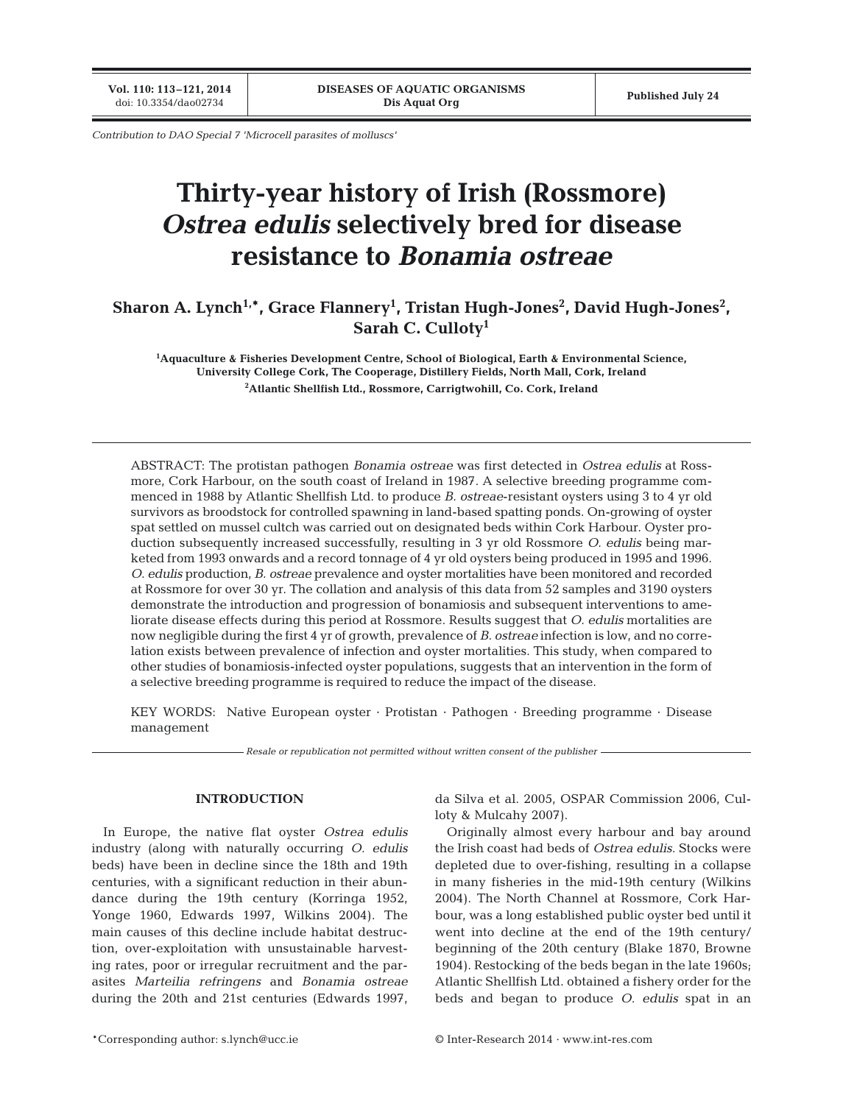**Vol. 110: 113–121, 2014**

*Contribution to DAO Special 7 'Microcell parasites of molluscs'*

# **Thirty-year history of Irish (Rossmore)**  *Ostrea edulis* **selectively bred for disease resistance to** *Bonamia ostreae*

# Sharon A. Lynch<sup>1,</sup>\*, Grace Flannery<sup>1</sup>, Tristan Hugh-Jones<sup>2</sup>, David Hugh-Jones<sup>2</sup>, **Sarah C. Culloty1**

**1 Aquaculture & Fisheries Development Centre, School of Biological, Earth & Environmental Science, University College Cork, The Cooperage, Distillery Fields, North Mall, Cork, Ireland 2 Atlantic Shellfish Ltd., Rossmore, Carrigtwohill, Co. Cork, Ireland**

ABSTRACT: The protistan pathogen *Bonamia ostreae* was first detected in *Ostrea edulis* at Rossmore, Cork Harbour, on the south coast of Ireland in 1987. A selective breeding programme commenced in 1988 by Atlantic Shellfish Ltd. to produce *B. ostreae*-resistant oysters using 3 to 4 yr old survivors as broodstock for controlled spawning in land-based spatting ponds. On-growing of oyster spat settled on mussel cultch was carried out on designated beds within Cork Harbour. Oyster production subsequently increased successfully, resulting in 3 yr old Rossmore *O. edulis* being marketed from 1993 onwards and a record tonnage of 4 yr old oysters being produced in 1995 and 1996. *O. edulis* production, *B. ostreae* prevalence and oyster mortalities have been monitored and recorded at Rossmore for over 30 yr. The collation and analysis of this data from 52 samples and 3190 oysters demonstrate the introduction and progression of bonamiosis and subsequent interventions to ameliorate disease effects during this period at Rossmore. Results suggest that *O. edulis* mortalities are now negligible during the first 4 yr of growth, prevalence of *B. ostreae* infection is low, and no correlation exists between prevalence of infection and oyster mortalities. This study, when compared to other studies of bonamiosis-infected oyster populations, suggests that an intervention in the form of a selective breeding programme is required to reduce the impact of the disease.

KEY WORDS: Native European oyster · Protistan · Pathogen · Breeding programme · Disease management

*Resale or republication not permitted without written consent of the publisher*

# **INTRODUCTION**

In Europe, the native flat oyster *Ostrea edulis* in dustry (along with naturally occurring *O. edulis* beds) have been in decline since the 18th and 19th centuries, with a significant reduction in their abundance during the 19th century (Korringa 1952, Yonge 1960, Edwards 1997, Wilkins 2004). The main causes of this decline include habitat destruction, over-exploitation with unsustainable harvesting rates, poor or irregular recruitment and the parasites *Marteilia refringens* and *Bonamia ostreae* during the 20th and 21st centuries (Edwards 1997, da Silva et al. 2005, OSPAR Commission 2006, Culloty & Mulcahy 2007).

Originally almost every harbour and bay around the Irish coast had beds of *Ostrea edulis*. Stocks were depleted due to over-fishing, resulting in a collapse in many fisheries in the mid-19th century (Wilkins 2004). The North Channel at Rossmore, Cork Harbour, was a long established public oyster bed until it went into decline at the end of the 19th century/ beginning of the 20th century (Blake 1870, Browne 1904). Restocking of the beds began in the late 1960s; Atlantic Shellfish Ltd. obtained a fishery order for the beds and began to produce *O. edulis* spat in an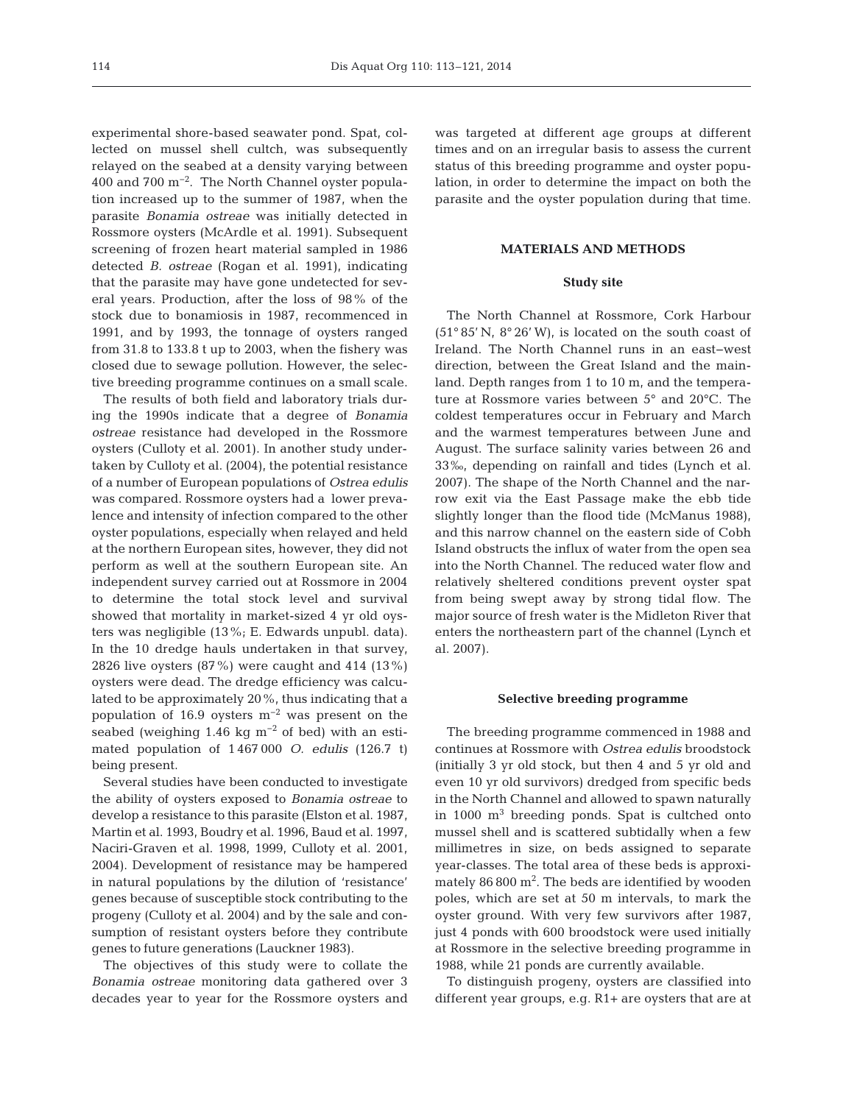experimental shore-based seawater pond. Spat, collected on mussel shell cultch, was subsequently relayed on the seabed at a density varying between 400 and 700 m−2. The North Channel oyster population increased up to the summer of 1987, when the parasite *Bonamia ostreae* was initially detected in Rossmore oysters (McArdle et al. 1991). Subsequent screening of frozen heart material sampled in 1986 detected *B. ostreae* (Rogan et al. 1991), indicating that the parasite may have gone undetected for several years. Production, after the loss of 98% of the stock due to bonamiosis in 1987, recommenced in 1991, and by 1993, the tonnage of oysters ranged from 31.8 to 133.8 t up to 2003, when the fishery was closed due to sewage pollution. However, the selective breeding programme continues on a small scale.

The results of both field and laboratory trials during the 1990s indicate that a degree of *Bonamia ostreae* resistance had developed in the Rossmore oysters (Culloty et al. 2001). In another study undertaken by Culloty et al. (2004), the potential resistance of a number of European populations of *Ostrea edulis* was compared. Rossmore oysters had a lower prevalence and intensity of infection compared to the other oyster populations, especially when relayed and held at the northern European sites, however, they did not perform as well at the southern European site. An independent survey carried out at Rossmore in 2004 to determine the total stock level and survival showed that mortality in market-sized 4 yr old oysters was negligible (13%; E. Edwards unpubl. data). In the 10 dredge hauls undertaken in that survey, 2826 live oysters (87%) were caught and 414 (13%) oysters were dead. The dredge efficiency was calculated to be approximately 20%, thus indicating that a population of 16.9 oysters m−2 was present on the seabed (weighing 1.46 kg  $m^{-2}$  of bed) with an estimated population of 1 467 000 *O. edulis* (126.7 t) being present.

Several studies have been conducted to investigate the ability of oysters exposed to *Bonamia ostreae* to develop a resistance to this parasite (Elston et al. 1987, Martin et al. 1993, Boudry et al. 1996, Baud et al. 1997, Naciri-Graven et al. 1998, 1999, Culloty et al. 2001, 2004). Development of resistance may be hampered in natural populations by the dilution of 'resistance' genes because of susceptible stock contributing to the progeny (Culloty et al. 2004) and by the sale and consumption of resistant oysters before they contribute genes to future generations (Lauckner 1983).

The objectives of this study were to collate the *Bonamia ostreae* monitoring data gathered over 3 decades year to year for the Rossmore oysters and was targeted at different age groups at different times and on an irregular basis to assess the current status of this breeding programme and oyster population, in order to determine the impact on both the parasite and the oyster population during that time.

#### **MATERIALS AND METHODS**

## **Study site**

The North Channel at Rossmore, Cork Harbour (51° 85' N, 8° 26' W), is located on the south coast of Ireland. The North Channel runs in an east−west direction, between the Great Island and the mainland. Depth ranges from 1 to 10 m, and the temperature at Rossmore varies between 5° and 20°C. The coldest temperatures occur in February and March and the warmest temperatures between June and August. The surface salinity varies between 26 and 33‰, depending on rainfall and tides (Lynch et al. 2007). The shape of the North Channel and the narrow exit via the East Passage make the ebb tide slightly longer than the flood tide (McManus 1988), and this narrow channel on the eastern side of Cobh Island obstructs the influx of water from the open sea into the North Channel. The reduced water flow and relatively sheltered conditions prevent oyster spat from being swept away by strong tidal flow. The major source of fresh water is the Midleton River that enters the northeastern part of the channel (Lynch et al. 2007).

#### **Selective breeding programme**

The breeding programme commenced in 1988 and continues at Rossmore with *Ostrea edulis* broodstock (initially 3 yr old stock, but then 4 and 5 yr old and even 10 yr old survivors) dredged from specific beds in the North Channel and allowed to spawn naturally in  $1000 \text{ m}^3$  breeding ponds. Spat is cultched onto mussel shell and is scattered subtidally when a few millimetres in size, on beds assigned to separate year-classes. The total area of these beds is approximately  $86\,800 \text{ m}^2$ . The beds are identified by wooden poles, which are set at 50 m intervals, to mark the oyster ground. With very few survivors after 1987, just 4 ponds with 600 broodstock were used initially at Rossmore in the selective breeding programme in 1988, while 21 ponds are currently available.

To distinguish progeny, oysters are classified into different year groups, e.g. R1+ are oysters that are at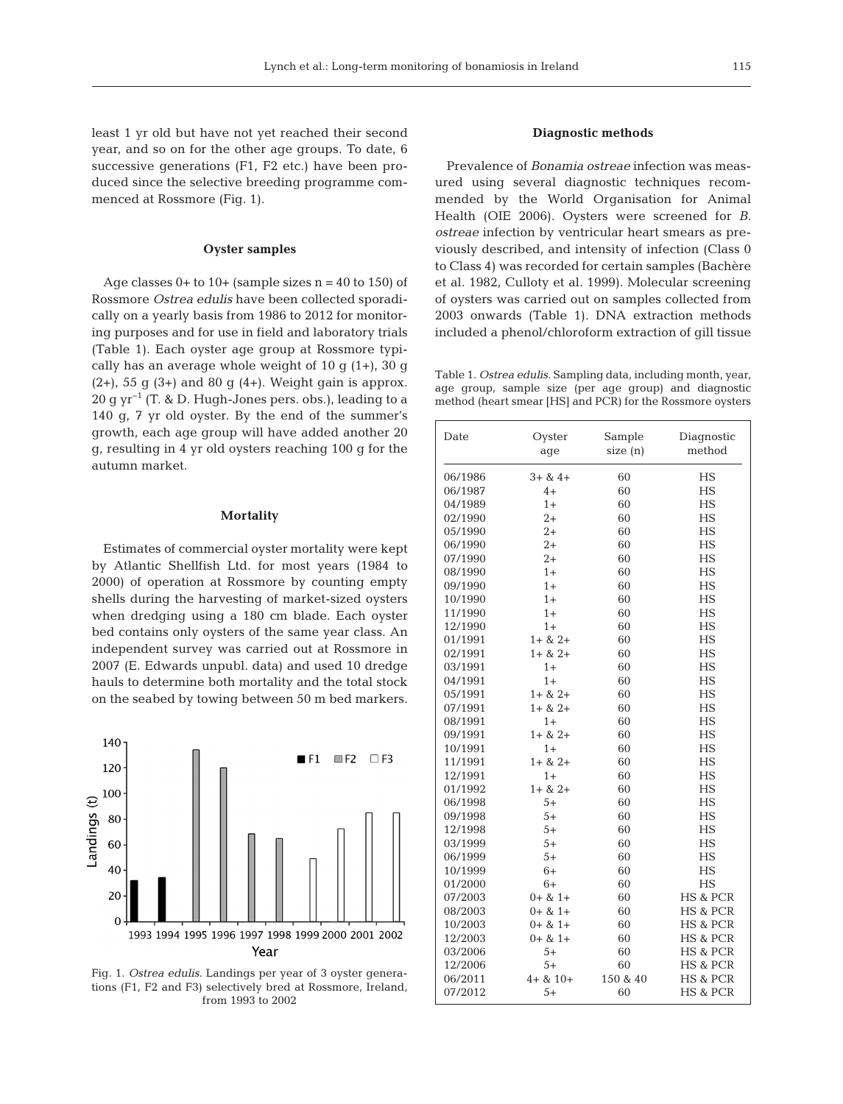least 1 yr old but have not yet reached their second year, and so on for the other age groups. To date, 6 successive generations (F1, F2 etc.) have been produced since the selective breeding programme commenced at Rossmore (Fig. 1).

### **Oyster samples**

Age classes  $0+$  to  $10+$  (sample sizes  $n = 40$  to  $150$ ) of Rossmore *Ostrea edulis* have been collected sporadically on a yearly basis from 1986 to 2012 for monitoring purposes and for use in field and laboratory trials (Table 1). Each oyster age group at Rossmore typically has an average whole weight of 10 g (1+), 30 g  $(2+)$ , 55 g  $(3+)$  and 80 g  $(4+)$ . Weight gain is approx. 20 g yr<sup>-1</sup> (T. & D. Hugh-Jones pers. obs.), leading to a 140 g, 7 yr old oyster. By the end of the summer's growth, each age group will have added another 20 g, resulting in 4 yr old oysters reaching 100 g for the autumn market.

#### **Mortality**

Estimates of commercial oyster mortality were kept by Atlantic Shellfish Ltd. for most years (1984 to 2000) of operation at Rossmore by counting empty shells during the harvesting of market-sized oysters when dredging using a 180 cm blade. Each oyster bed contains only oysters of the same year class. An independent survey was carried out at Rossmore in 2007 (E. Edwards unpubl. data) and used 10 dredge hauls to determine both mortality and the total stock on the seabed by towing between 50 m bed markers.



Fig. 1. *Ostrea edulis.* Landings per year of 3 oyster generations (F1, F2 and F3) selectively bred at Rossmore, Ireland, from 1993 to 2002

# **Diagnostic methods**

Prevalence of *Bonamia ostreae* infection was measured using several diagnostic techniques recommended by the World Organisation for Animal Health (OIE 2006). Oysters were screened for *B. ostreae* infection by ventricular heart smears as previously described, and intensity of infection (Class 0 to Class 4) was recorded for certain samples (Bachère et al. 1982, Culloty et al. 1999). Molecular screening of oysters was carried out on samples collected from 2003 onwards (Table 1). DNA extraction methods included a phenol/chloroform extraction of gill tissue

Table 1. *Ostrea edulis.* Sampling data, including month, year, age group, sample size (per age group) and diagnostic method (heart smear [HS] and PCR) for the Rossmore oysters

| Date    | Oyster<br>age  | Sample<br>size (n) | Diagnostic<br>method |  |
|---------|----------------|--------------------|----------------------|--|
| 06/1986 | $3 + 8$ 4+     | 60                 | НS                   |  |
| 06/1987 | $4+$           | 60                 | HS                   |  |
| 04/1989 | $1+$           | 60                 | <b>HS</b>            |  |
| 02/1990 | $2+$           | 60                 | HS                   |  |
| 05/1990 | $2+$           | 60                 | HS                   |  |
| 06/1990 | $2+$           | 60                 | <b>HS</b>            |  |
| 07/1990 | $2+$           | 60                 | HS                   |  |
| 08/1990 | $1+$           | 60                 | HS                   |  |
| 09/1990 | $1+$           | 60                 | HS                   |  |
| 10/1990 | $1+$           | 60                 | HS                   |  |
| 11/1990 | $1+$           | 60                 | HS                   |  |
| 12/1990 | $1+$           | 60                 | HS                   |  |
| 01/1991 | $1 + 8 + 2 +$  | 60                 | <b>HS</b>            |  |
| 02/1991 | $1 + 8$ $2 +$  | 60                 | HS                   |  |
| 03/1991 | $1+$           | 60                 | НS                   |  |
| 04/1991 | $1+$           | 60                 | <b>HS</b>            |  |
| 05/1991 | $1 + 8 + 2 +$  | 60                 | HS                   |  |
| 07/1991 | $1 + 8 + 2 +$  | 60                 | HS                   |  |
| 08/1991 | $1+$           | 60                 | HS                   |  |
| 09/1991 | $1 + 8 + 2 +$  | 60                 | HS                   |  |
| 10/1991 | $1+$           | 60                 | HS                   |  |
| 11/1991 | $1 + 8 + 2 +$  | 60                 | HS                   |  |
| 12/1991 | $1+$           | 60                 | <b>HS</b>            |  |
| 01/1992 | $1 + 8 + 2 +$  | 60                 | HS                   |  |
| 06/1998 | $5+$           | 60                 | HS                   |  |
| 09/1998 | $5+$           | 60                 | HS                   |  |
| 12/1998 | $5+$           | 60                 | НS                   |  |
| 03/1999 | $5+$           | 60                 | HS                   |  |
| 06/1999 | $5+$           | 60                 | НS                   |  |
| 10/1999 | 6+             | 60                 | <b>HS</b>            |  |
| 01/2000 | $6+$           | 60                 | HS                   |  |
| 07/2003 | $0 + 8 + 1 +$  | 60                 | <b>HS &amp; PCR</b>  |  |
| 08/2003 | $0+ 8$ 1+      | 60                 | <b>HS &amp; PCR</b>  |  |
| 10/2003 | $0+8$ $1+$     | 60                 | <b>HS &amp; PCR</b>  |  |
| 12/2003 | $0 + 8 + 1 +$  | 60                 | <b>HS &amp; PCR</b>  |  |
| 03/2006 | $5+$           | 60                 | <b>HS &amp; PCR</b>  |  |
| 12/2006 | 5+             | 60                 | <b>HS &amp; PCR</b>  |  |
| 06/2011 | $4 + 8 + 10 +$ | 150 & 40           | <b>HS &amp; PCR</b>  |  |
| 07/2012 | $5+$           | 60                 | <b>HS &amp; PCR</b>  |  |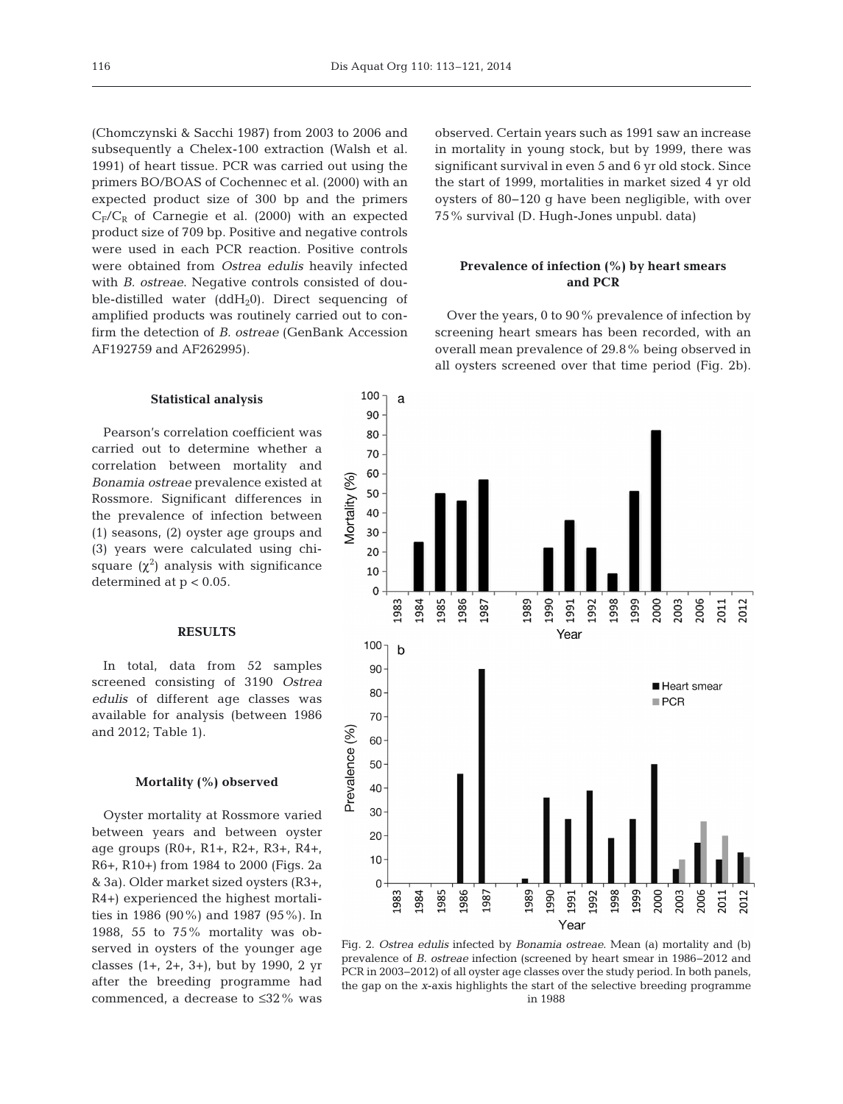(Chomczynski & Sacchi 1987) from 2003 to 2006 and subsequently a Chelex-100 extraction (Walsh et al. 1991) of heart tissue. PCR was carried out using the primers BO/BOAS of Cochennec et al. (2000) with an expected product size of 300 bp and the primers  $C_F/C_R$  of Carnegie et al. (2000) with an expected product size of 709 bp. Positive and negative controls were used in each PCR reaction. Positive controls were obtained from *Ostrea edulis* heavily infected with *B. ostreae*. Negative controls consisted of double-distilled water  $(ddH_20)$ . Direct sequencing of amplified products was routinely carried out to confirm the detection of *B. ostreae* (GenBank Accession AF192759 and AF262995).

### **Statistical analysis**

Pearson's correlation coefficient was carried out to determine whether a correlation between mortality and *Bonamia ostreae* prevalence existed at Rossmore. Significant differences in the prevalence of infection between (1) seasons, (2) oyster age groups and (3) years were calculated using chisquare  $(\chi^2)$  analysis with significance determined at p < 0.05.

# **RESULTS**

In total, data from 52 samples screened consisting of 3190 *Ostrea edulis* of different age classes was available for analysis (between 1986 and 2012; Table 1).

# **Mortality (%) observed**

Oyster mortality at Rossmore varied between years and between oyster age groups (R0+, R1+, R2+, R3+, R4+, R6+, R10+) from 1984 to 2000 (Figs. 2a & 3a). Older market sized oysters (R3+, R4+) experienced the highest mortalities in 1986 (90%) and 1987 (95%). In 1988, 55 to 75% mortality was ob served in oysters of the younger age classes (1+, 2+, 3+), but by 1990, 2 yr after the breeding programme had commenced, a decrease to ≤32% was

observed. Certain years such as 1991 saw an increase in mortality in young stock, but by 1999, there was significant survival in even 5 and 6 yr old stock. Since the start of 1999, mortalities in market sized 4 yr old oysters of 80−120 g have been negligible, with over 75% survival (D. Hugh-Jones unpubl. data)

# **Prevalence of infection (%) by heart smears and PCR**

Over the years, 0 to 90% prevalence of infection by screening heart smears has been recorded, with an overall mean prevalence of 29.8% being observed in all oysters screened over that time period (Fig. 2b).



Fig. 2. *Ostrea edulis* infected by *Bonamia ostreae*. Mean (a) mortality and (b) prevalence of *B. ostreae* infection (screened by heart smear in 1986–2012 and PCR in 2003−2012) of all oyster age classes over the study period. In both panels, the gap on the *x*-axis highlights the start of the selective breeding programme in 1988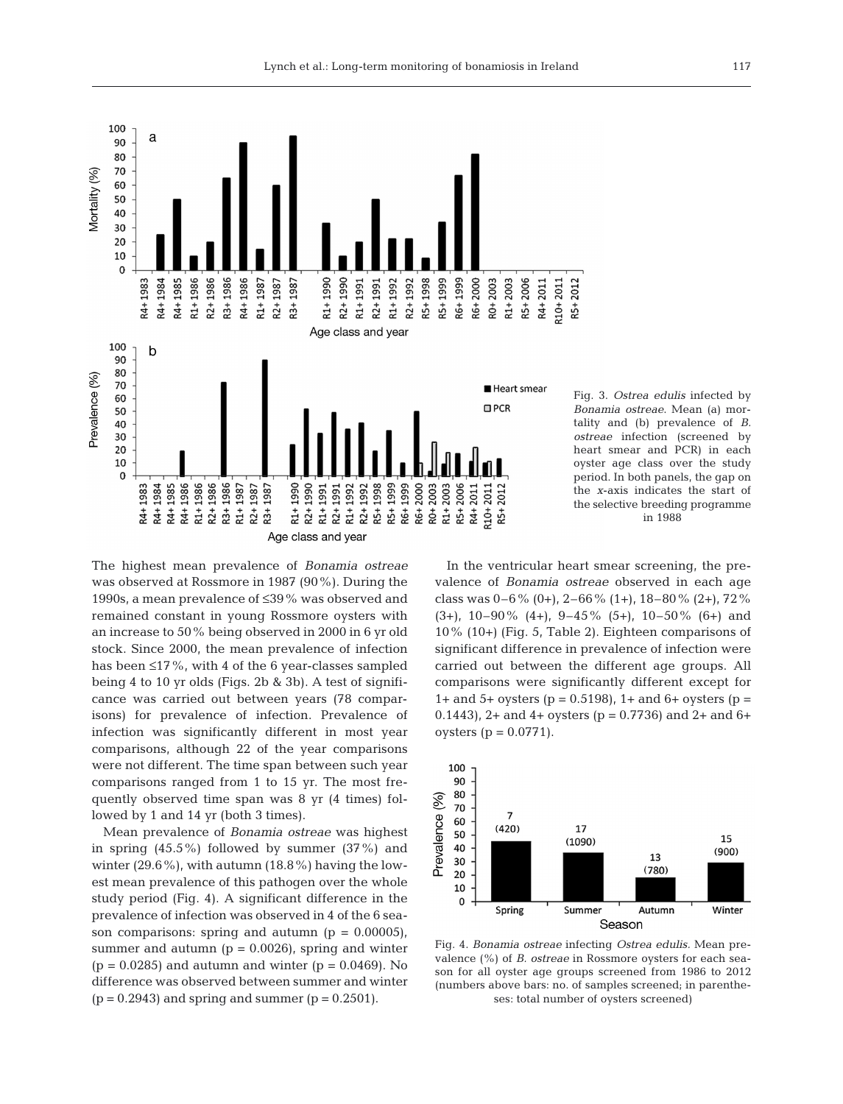

Fig. 3. *Ostrea edulis* infected by *Bonamia ostreae*. Mean (a) mortality and (b) prevalence of *B. ostreae* infection (screened by heart smear and PCR) in each oyster age class over the study period. In both panels, the gap on the *x*-axis indicates the start of the selective breeding programme in 1988

The highest mean prevalence of *Bonamia ostreae* was observed at Rossmore in 1987 (90%). During the 1990s, a mean prevalence of ≤39% was observed and remained constant in young Rossmore oysters with an increase to 50% being observed in 2000 in 6 yr old stock. Since 2000, the mean prevalence of infection has been  $\leq$ 17%, with 4 of the 6 year-classes sampled being 4 to 10 yr olds (Figs. 2b & 3b). A test of significance was carried out between years (78 comparisons) for prevalence of infection. Prevalence of infection was significantly different in most year comparisons, although 22 of the year comparisons were not different. The time span between such year comparisons ranged from 1 to 15 yr. The most frequently observed time span was 8 yr (4 times) followed by 1 and 14 yr (both 3 times).

Mean prevalence of *Bonamia ostreae* was highest in spring  $(45.5\%)$  followed by summer  $(37\%)$  and winter  $(29.6\%)$ , with autumn  $(18.8\%)$  having the lowest mean prevalence of this pathogen over the whole study period (Fig. 4). A significant difference in the prevalence of infection was observed in 4 of the 6 season comparisons: spring and autumn  $(p = 0.00005)$ , summer and autumn ( $p = 0.0026$ ), spring and winter  $(p = 0.0285)$  and autumn and winter  $(p = 0.0469)$ . No difference was observed between summer and winter  $(p = 0.2943)$  and spring and summer  $(p = 0.2501)$ .

In the ventricular heart smear screening, the prevalence of *Bonamia ostreae* observed in each age class was  $0-6\%$  (0+),  $2-66\%$  (1+),  $18-80\%$  (2+),  $72\%$  $(3+)$ , 10–90%  $(4+)$ , 9–45%  $(5+)$ , 10–50%  $(6+)$  and 10% (10+) (Fig. 5, Table 2). Eighteen comparisons of significant difference in prevalence of infection were carried out between the different age groups. All comparisons were significantly different except for 1+ and 5+ oysters ( $p = 0.5198$ ), 1+ and 6+ oysters ( $p =$ 0.1443), 2+ and 4+ oysters ( $p = 0.7736$ ) and 2+ and 6+ oysters ( $p = 0.0771$ ).



Fig. 4. *Bonamia ostreae* infecting *Ostrea edulis.* Mean pre valence (%) of *B. ostreae* in Rossmore oysters for each season for all oyster age groups screened from 1986 to 2012 (numbers above bars: no. of samples screened; in parentheses: total number of oysters screened)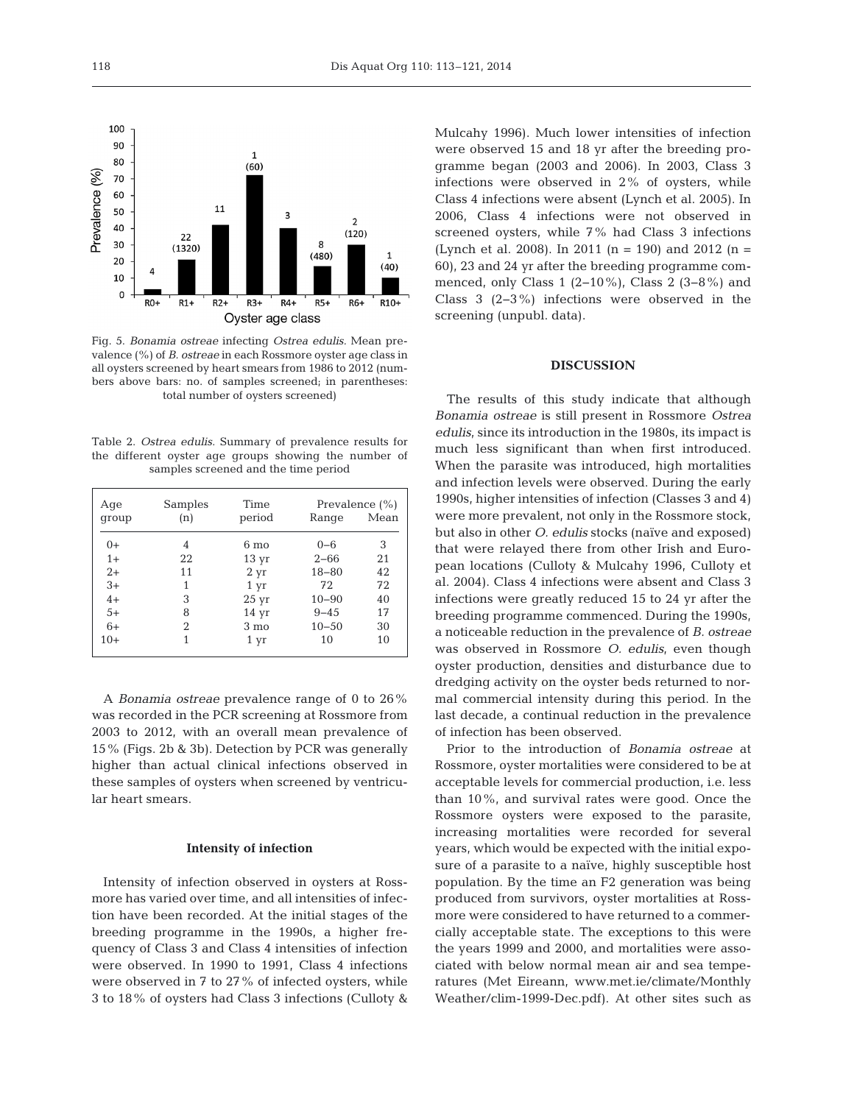Fig. 5. *Bonamia ostreae* infecting *Ostrea edulis.* Mean pre valence (%) of *B. ostreae* in each Rossmore oyster age class in all oysters screened by heart smears from 1986 to 2012 (numbers above bars: no. of samples screened; in parentheses: total number of oysters screened)

Table 2. *Ostrea edulis.* Summary of prevalence results for the different oyster age groups showing the number of samples screened and the time period

| Age<br>group | Samples<br>(n) | Time<br>period   | Range     | Prevalence $(\% )$<br>Mean |
|--------------|----------------|------------------|-----------|----------------------------|
| $0+$         | 4              | $6 \text{ mo}$   | $0 - 6$   | 3                          |
| $1+$         | 22             | $13 \text{ yr}$  | $2 - 66$  | 21                         |
| $2+$         | 11             | $2 \, yr$        | $18 - 80$ | 42                         |
| $3+$         | 1              | $1 \, yr$        | 72        | 72                         |
| $4+$         | 3              | $25 \mathrm{yr}$ | $10 - 90$ | 40                         |
| $5+$         | 8              | 14 <sub>yr</sub> | $9 - 45$  | 17                         |
| $6+$         | 2              | $3 \text{ mo}$   | $10 - 50$ | 30                         |
| $10+$        | 1              | 1 yr             | 10        | 10                         |

A *Bonamia ostreae* prevalence range of 0 to 26% was recorded in the PCR screening at Rossmore from 2003 to 2012, with an overall mean prevalence of 15% (Figs. 2b & 3b). Detection by PCR was generally higher than actual clinical infections observed in these samples of oysters when screened by ventricular heart smears.

#### **Intensity of infection**

Intensity of infection observed in oysters at Rossmore has varied over time, and all intensities of infection have been recorded. At the initial stages of the breeding programme in the 1990s, a higher frequency of Class 3 and Class 4 intensities of infection were observed. In 1990 to 1991, Class 4 infections were observed in 7 to 27% of infected oysters, while 3 to 18% of oysters had Class 3 infections (Culloty &

Mulcahy 1996). Much lower intensities of infection were observed 15 and 18 yr after the breeding programme began (2003 and 2006). In 2003, Class 3 infections were observed in 2% of oysters, while Class 4 infections were absent (Lynch et al. 2005). In 2006, Class 4 infections were not observed in screened oysters, while 7% had Class 3 infections (Lynch et al. 2008). In 2011 (n = 190) and 2012 (n = 60), 23 and 24 yr after the breeding programme commenced, only Class 1 (2−10%), Class 2 (3−8%) and Class 3 (2−3%) infections were observed in the screening (unpubl. data).

# **DISCUSSION**

The results of this study indicate that although *Bonamia ostreae* is still present in Rossmore *Ostrea edulis*, since its introduction in the 1980s, its impact is much less significant than when first introduced. When the parasite was introduced, high mortalities and infection levels were observed. During the early 1990s, higher intensities of infection (Classes 3 and 4) were more prevalent, not only in the Rossmore stock, but also in other *O. edulis* stocks (naïve and exposed) that were relayed there from other Irish and European locations (Culloty & Mulcahy 1996, Culloty et al. 2004). Class 4 infections were absent and Class 3 infections were greatly reduced 15 to 24 yr after the breeding programme commenced. During the 1990s, a noticeable reduction in the prevalence of *B. ostreae* was observed in Rossmore *O. edulis*, even though oyster production, densities and disturbance due to dredging activity on the oyster beds returned to normal commercial intensity during this period. In the last decade, a continual reduction in the prevalence of infection has been observed.

Prior to the introduction of *Bonamia ostreae* at Rossmore, oyster mortalities were considered to be at acceptable levels for commercial production, i.e. less than 10%, and survival rates were good. Once the Rossmore oysters were exposed to the parasite, increasing mortalities were recorded for several years, which would be expected with the initial exposure of a parasite to a naïve, highly susceptible host population. By the time an F2 generation was being produced from survivors, oyster mortalities at Rossmore were considered to have returned to a commercially acceptable state. The exceptions to this were the years 1999 and 2000, and mortalities were associated with below normal mean air and sea tempe ratures (Met Eireann, www.met.ie/climate/Monthly Weather/clim-1999-Dec.pdf). At other sites such as



118

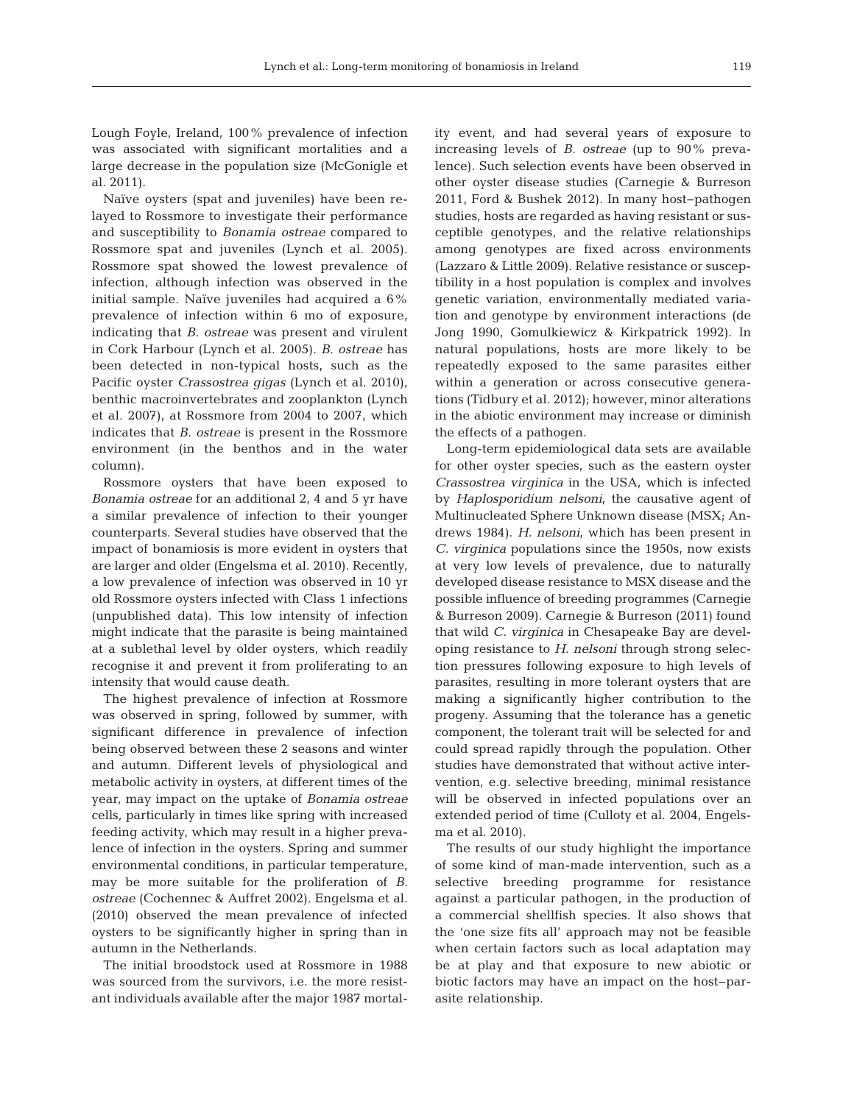Lough Foyle, Ireland, 100% prevalence of infection was associated with significant mortalities and a large decrease in the population size (McGonigle et al. 2011).

Naïve oysters (spat and juveniles) have been re layed to Rossmore to investigate their performance and susceptibility to *Bonamia ostreae* compared to Rossmore spat and juveniles (Lynch et al. 2005). Rossmore spat showed the lowest prevalence of infection, although infection was observed in the initial sample. Naïve juveniles had acquired a 6% prevalence of infection within 6 mo of exposure, indicating that *B. ostreae* was present and virulent in Cork Harbour (Lynch et al. 2005). *B. ostreae* has been detected in non-typical hosts, such as the Pacific oyster *Crassostrea gigas* (Lynch et al. 2010), benthic macroinvertebrates and zooplankton (Lynch et al. 2007), at Rossmore from 2004 to 2007, which indicates that *B. ostreae* is present in the Rossmore environment (in the benthos and in the water column).

Rossmore oysters that have been exposed to *Bonamia ostreae* for an additional 2, 4 and 5 yr have a similar prevalence of infection to their younger counterparts. Several studies have observed that the impact of bonamiosis is more evident in oysters that are larger and older (Engelsma et al. 2010). Recently, a low prevalence of infection was observed in 10 yr old Rossmore oysters infected with Class 1 infections (unpublished data). This low intensity of infection might indicate that the parasite is being maintained at a sublethal level by older oysters, which readily recognise it and prevent it from proliferating to an intensity that would cause death.

The highest prevalence of infection at Rossmore was observed in spring, followed by summer, with significant difference in prevalence of infection being observed between these 2 seasons and winter and autumn. Different levels of physiological and metabolic activity in oysters, at different times of the year, may impact on the uptake of *Bonamia ostreae* cells, particularly in times like spring with increased feeding activity, which may result in a higher prevalence of infection in the oysters. Spring and summer environmental conditions, in particular temperature, may be more suitable for the proliferation of *B. ostreae* (Cochennec & Auffret 2002). Engelsma et al. (2010) observed the mean prevalence of infected oysters to be significantly higher in spring than in autumn in the Netherlands.

The initial broodstock used at Rossmore in 1988 was sourced from the survivors, i.e. the more resistant individuals available after the major 1987 mortality event, and had several years of exposure to increasing levels of *B. ostreae* (up to 90% prevalence). Such selection events have been observed in other oyster disease studies (Carnegie & Burreson 2011, Ford & Bushek 2012). In many host−pathogen studies, hosts are regarded as having resistant or susceptible genotypes, and the relative relationships among genotypes are fixed across environments (Lazzaro & Little 2009). Relative resistance or susceptibility in a host population is complex and involves genetic variation, environmentally mediated variation and genotype by environment interactions (de Jong 1990, Gomulkiewicz & Kirkpatrick 1992). In natural populations, hosts are more likely to be repeatedly exposed to the same parasites either within a generation or across consecutive generations (Tidbury et al. 2012); however, minor alterations in the abiotic environment may increase or diminish the effects of a pathogen.

Long-term epidemiological data sets are available for other oyster species, such as the eastern oyster *Crassostrea virginica* in the USA, which is infected by *Haplosporidium nelsoni*, the causative agent of Multinucleated Sphere Unknown disease (MSX; An drews 1984). *H. nelsoni*, which has been present in *C. virginica* populations since the 1950s, now exists at very low levels of prevalence, due to naturally developed disease resistance to MSX disease and the possible influence of breeding programmes (Carnegie & Burreson 2009). Carnegie & Burreson (2011) found that wild *C. virginica* in Chesapeake Bay are developing resistance to *H. nelsoni* through strong selection pressures following exposure to high levels of parasites, resulting in more tolerant oysters that are making a significantly higher contribution to the progeny. Assuming that the tolerance has a genetic component, the tolerant trait will be selected for and could spread rapidly through the population. Other studies have demonstrated that without active intervention, e.g. selective breeding, minimal resistance will be observed in infected populations over an extended period of time (Culloty et al. 2004, Engelsma et al. 2010).

The results of our study highlight the importance of some kind of man-made intervention, such as a selective breeding programme for resistance against a particular pathogen, in the production of a commercial shellfish species. It also shows that the 'one size fits all' approach may not be feasible when certain factors such as local adaptation may be at play and that exposure to new abiotic or biotic factors may have an impact on the host−parasite relationship.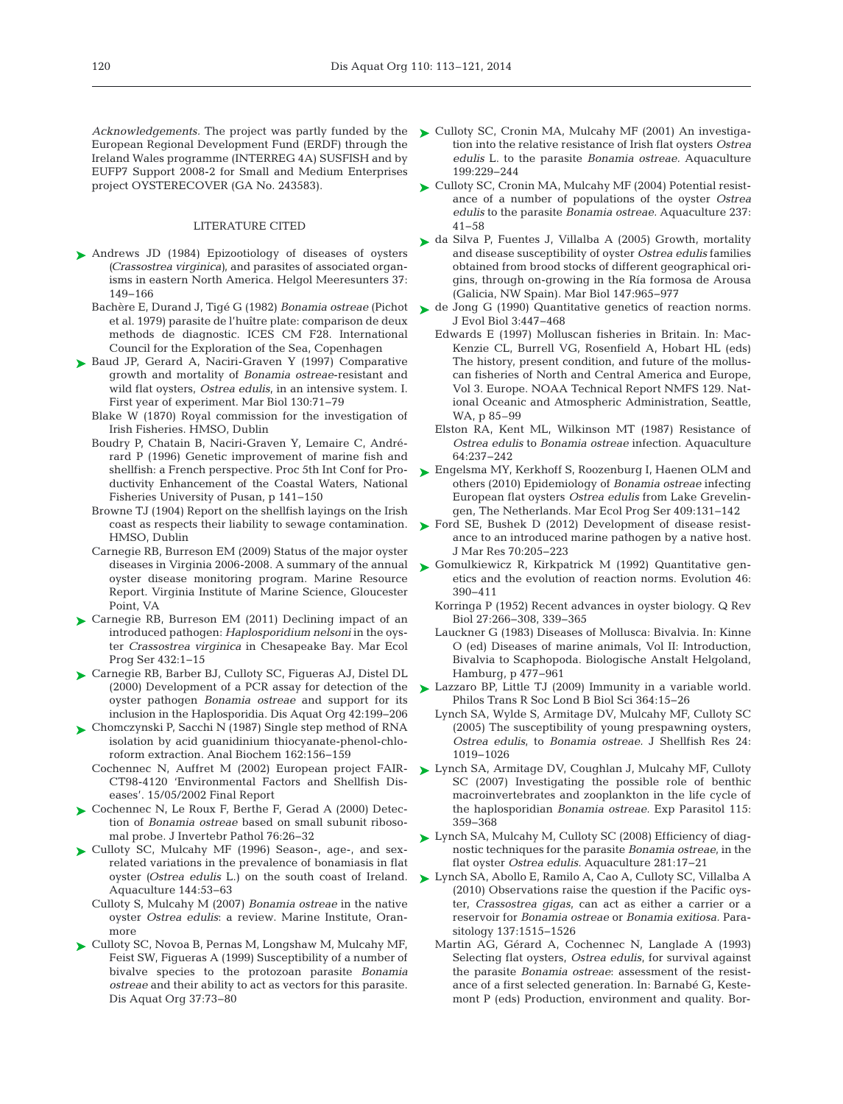European Regional Development Fund (ERDF) through the Ireland Wales programme (INTERREG 4A) SUSFISH and by EUFP7 Support 2008-2 for Small and Medium Enterprises project OYSTERECOVER (GA No. 243583).

### LITERATURE CITED

- ▶ [Andrews JD \(1984\) Epizootiology of diseases of oysters](http://dx.doi.org/10.1007/BF01989300) *(Crassostrea virginica)*, and parasites of associated organisms in eastern North America. Helgol Meeres unters 37: 149−166
	- et al. 1979) parasite de l'huître plate: comparison de deux methods de diagnostic. ICES CM F28. International Council for the Exploration of the Sea, Copenhagen
- ▶ [Baud JP, Gerard A, Naciri-Graven Y \(1997\) Comparative](http://dx.doi.org/10.2307/2390128) growth and mortality of *Bonamia ostreae*-resistant and wild flat oysters, *Ostrea edulis*, in an intensive system. I. First year of experiment. Mar Biol 130:71–79
	- Blake W (1870) Royal commission for the investigation of Irish Fisheries. HMSO, Dublin
	- Boudry P, Chatain B, Naciri-Graven Y, Lemaire C, Andrérard P (1996) Genetic improvement of marine fish and shellfish:a French perspective. Proc 5th Int Conf for Productivity Enhancement of the Coastal Waters, National Fisheries University of Pusan, p 141−150
	- Browne TJ (1904) Report on the shellfish layings on the Irish coast as respects their liability to sewage contamination. HMSO, Dublin
	- Carnegie RB, Burreson EM (2009) Status of the major oyster diseases in Virginia 2006-2008. A summary of the annual oyster disease monitoring program. Marine Resource Report. Virginia Institute of Marine Science, Gloucester Point, VA
- ► [Carnegie RB, Burreson EM \(2011\) Declining impact of an](http://dx.doi.org/10.3354/meps09221) introduced pathogen: *Haplosporidium nelsoni* in the oyster *Crassostrea virginica* in Chesapeake Bay. Mar Ecol Prog Ser 432: 1−15
- ► [Carnegie RB, Barber BJ, Culloty SC, Figueras AJ, Distel DL](http://dx.doi.org/10.3354/dao042199) (2000) Development of a PCR assay for detection of the oyster pathogen *Bonamia ostreae* and support for its inclusion in the Haplosporidia. Dis Aquat Org 42: 199−206
- [Chomczynski P, Sacchi N \(1987\) Single step method of RNA](http://www.ncbi.nlm.nih.gov/entrez/query.fcgi?cmd=Retrieve&db=PubMed&list_uids=2440339&dopt=Abstract) ➤ isolation by acid guanidinium thiocyanate-phenol-chloroform extraction. Anal Biochem 162: 156−159
	- Cochennec N, Auffret M (2002) European project FAIR-CT98-4120 'Environmental Factors and Shellfish Diseases'. 15/05/2002 Final Report
- ► [Cochennec N, Le Roux F, Berthe F, Gerad A \(2000\) Detec](http://dx.doi.org/10.1006/jipa.2000.4939)tion of *Bonamia ostreae* based on small subunit ribosomal probe. J Invertebr Pathol 76:26-32
- ▶ [Culloty SC, Mulcahy MF \(1996\) Season-, age-, and sex](http://dx.doi.org/10.1016/S0044-8486(96)01290-2)related variations in the prevalence of bonamiasis in flat oyster *(Ostrea edulis* L.) on the south coast of Ireland. Aquaculture 144:53-63
	- Culloty S, Mulcahy M (2007) *Bonamia ostreae* in the native oyster Ostrea edulis: a review. Marine Institute, Oranmore
- ► [Culloty SC, Novoa B, Pernas M, Longshaw M, Mulcahy MF,](http://dx.doi.org/10.3354/dao037073) Feist SW, Figueras A (1999) Susceptibility of a number of bivalve species to the protozoan parasite *Bonamia ostreae* and their ability to act as vectors for this parasite. Dis Aquat Org 37:73-80
- Acknowledgements. The project was partly funded by the  $\sum$  [Culloty SC, Cronin MA, Mulcahy MF \(2001\) An investiga](http://dx.doi.org/10.1016/S0044-8486(01)00569-5)tion into the relative resistance of Irish flat oysters *Ostrea edulis* L. to the parasite *Bonamia ostreae.* Aquaculture 199: 229−244
	- ► [Culloty SC, Cronin MA, Mulcahy MF \(2004\) Potential resist](http://dx.doi.org/10.1016/j.aquaculture.2004.04.007)ance of a number of populations of the oyster *Ostrea edulis* to the parasite *Bonamia ostreae.* Aquaculture 237: 41−58
	- ► [da Silva P, Fuentes J, Villalba A \(2005\) Growth, mortality](http://dx.doi.org/10.1007/s00227-005-1627-4) and disease susceptibility of oyster *Ostrea edulis* families obtained from brood stocks of different geographical origins, through on-growing in the Ría formosa de Arousa (Galicia, NW Spain). Mar Biol 147: 965−977
- Bachère E, Durand J, Tigé G (1982) *Bonamia ostreae* (Pichot  $\;\blacktriangleright\;$  [de Jong G \(1990\) Quantitative genetics of reaction norms.](http://dx.doi.org/10.2307/2982521) J Evol Biol 3:447-468
	- Edwards E (1997) Molluscan fisheries in Britain. In: Mac-Kenzie CL, Burrell VG, Rosenfield A, Hobart HL (eds) The history, present condition, and future of the molluscan fisheries of North and Central America and Europe, Vol 3. Europe. NOAA Technical Report NMFS 129. Nat ional Oceanic and Atmospheric Administration, Seattle, WA, p 85–99
	- Elston RA, Kent ML, Wilkinson MT (1987) Resistance of *Ostrea edulis* to *Bonamia ostreae* infection. Aquaculture 64: 237−242
	- [Engelsma MY, Kerkhoff S, Roozenburg I, Haenen OLM and](http://dx.doi.org/10.3354/meps08594) ➤ others (2010) Epidemiology of *Bonamia ostreae* infecting European flat oysters *Ostrea edulis* from Lake Grevelingen, The Netherlands. Mar Ecol Prog Ser 409:131-142
	- ► [Ford SE, Bushek D \(2012\) Development of disease resist](http://dx.doi.org/10.1357/002224012802851922)ance to an introduced marine pathogen by a native host. J Mar Res 70:205-223
	- ▶ Gomulkiewicz R, Kirkpatrick M (1992) Quantitative genetics and the evolution of reaction norms. Evolution 46: 390−411
		- Korringa P (1952) Recent advances in oyster biology. Q Rev Biol 27: 266−308, 339−365
		- Lauckner G (1983) Diseases of Mollusca: Bivalvia. In: Kinne O (ed) Diseases of marine animals, Vol II: Introduction, Bivalvia to Scaphopoda. Biologische Anstalt Helgoland, Hamburg, p 477−961
	- [Lazzaro BP, Little TJ \(2009\) Immunity in a variable world.](http://dx.doi.org/10.1098/rstb.2008.0141) ➤ Philos Trans R Soc Lond B Biol Sci 364: 15−26
		- Lynch SA, Wylde S, Armitage DV, Mulcahy MF, Culloty SC (2005) The susceptibility of young prespawning oysters, *Ostrea edulis*, to *Bonamia ostreae.* J Shellfish Res 24: 1019−1026
	- [Lynch SA, Armitage DV, Coughlan J, Mulcahy MF, Culloty](http://dx.doi.org/10.1016/j.exppara.2006.09.021) ➤ SC (2007) Investigating the possible role of benthic macroinvertebrates and zooplankton in the life cycle of the haplosporidian *Bonamia ostreae.* Exp Parasitol 115: 359−368
	- ► [Lynch SA, Mulcahy M, Culloty SC \(2008\) Efficiency of diag](http://dx.doi.org/10.1016/j.aquaculture.2008.06.005)nostic techniques for the parasite *Bonamia ostreae*, in the flat oyster *Ostrea edulis.* Aquaculture 281: 17−21
	- [Lynch SA, Abollo E, Ramilo A, Cao A, Culloty SC, Villalba A](http://dx.doi.org/10.1017/S0031182010000326) ➤ (2010) Observations raise the question if the Pacific oyster, *Crassostrea gigas*, can act as either a carrier or a reservoir for *Bonamia ostreae* or *Bonamia exitiosa.* Parasitology 137:1515-1526
		- Martin AG, Gérard A, Cochennec N, Langlade A (1993) Selecting flat oysters, *Ostrea edulis*, for survival against the parasite *Bonamia ostreae*: assessment of the resistance of a first selected generation. In: Barnabé G, Kestemont P (eds) Production, environment and quality. Bor-